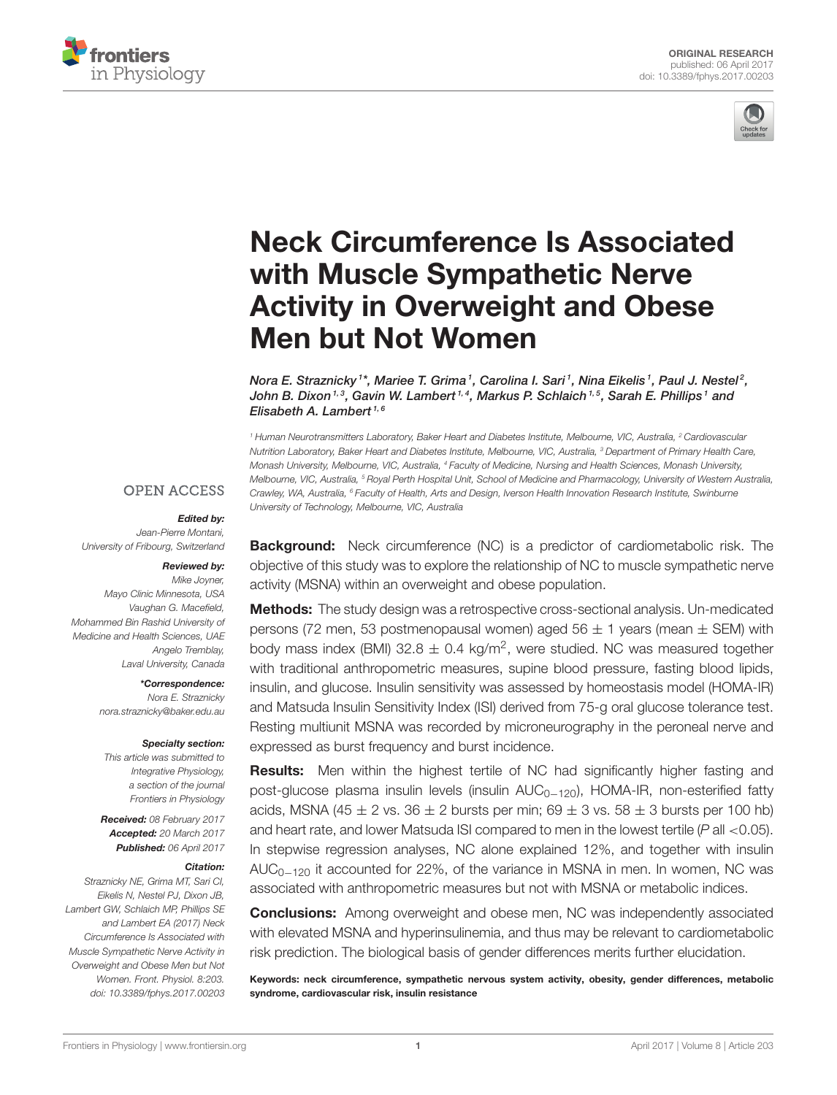



# [Neck Circumference Is Associated](http://journal.frontiersin.org/article/10.3389/fphys.2017.00203/abstract) with Muscle Sympathetic Nerve Activity in Overweight and Obese Men but Not Women

[Nora E. Straznicky](http://loop.frontiersin.org/people/14940/overview) <sup>1\*</sup>, Mariee T. Grima <sup>1</sup>, Carolina I. Sari <sup>1</sup>, Nina Eikelis <sup>1</sup>, Paul J. Nestel <sup>2</sup>, John B. Dixon<sup>1, 3</sup>, Gavin W. Lambert<sup>1, 4</sup>, Markus P. Schlaich<sup>1, 5</sup>, Sarah E. Phillips<sup>1</sup> and Elisabeth A. Lambert<sup>1, 6</sup>

*<sup>1</sup> Human Neurotransmitters Laboratory, Baker Heart and Diabetes Institute, Melbourne, VIC, Australia, <sup>2</sup> Cardiovascular Nutrition Laboratory, Baker Heart and Diabetes Institute, Melbourne, VIC, Australia, <sup>3</sup> Department of Primary Health Care, Monash University, Melbourne, VIC, Australia, <sup>4</sup> Faculty of Medicine, Nursing and Health Sciences, Monash University, Melbourne, VIC, Australia, <sup>5</sup> Royal Perth Hospital Unit, School of Medicine and Pharmacology, University of Western Australia, Crawley, WA, Australia, <sup>6</sup> Faculty of Health, Arts and Design, Iverson Health Innovation Research Institute, Swinburne University of Technology, Melbourne, VIC, Australia*

#### **OPEN ACCESS**

#### Edited by:

*Jean-Pierre Montani, University of Fribourg, Switzerland*

#### Reviewed by:

*Mike Joyner, Mayo Clinic Minnesota, USA Vaughan G. Macefield, Mohammed Bin Rashid University of Medicine and Health Sciences, UAE Angelo Tremblay, Laval University, Canada*

#### \*Correspondence:

*Nora E. Straznicky [nora.straznicky@baker.edu.au](mailto:nora.straznicky@baker.edu.au)*

#### Specialty section:

*This article was submitted to Integrative Physiology, a section of the journal Frontiers in Physiology*

Received: *08 February 2017* Accepted: *20 March 2017* Published: *06 April 2017*

#### Citation:

*Straznicky NE, Grima MT, Sari CI, Eikelis N, Nestel PJ, Dixon JB, Lambert GW, Schlaich MP, Phillips SE and Lambert EA (2017) Neck Circumference Is Associated with Muscle Sympathetic Nerve Activity in Overweight and Obese Men but Not Women. Front. Physiol. 8:203. doi: [10.3389/fphys.2017.00203](https://doi.org/10.3389/fphys.2017.00203)*

**Background:** Neck circumference (NC) is a predictor of cardiometabolic risk. The objective of this study was to explore the relationship of NC to muscle sympathetic nerve activity (MSNA) within an overweight and obese population.

Methods: The study design was a retrospective cross-sectional analysis. Un-medicated persons (72 men, 53 postmenopausal women) aged  $56 \pm 1$  years (mean  $\pm$  SEM) with body mass index (BMI) 32.8  $\pm$  0.4 kg/m<sup>2</sup>, were studied. NC was measured together with traditional anthropometric measures, supine blood pressure, fasting blood lipids, insulin, and glucose. Insulin sensitivity was assessed by homeostasis model (HOMA-IR) and Matsuda Insulin Sensitivity Index (ISI) derived from 75-g oral glucose tolerance test. Resting multiunit MSNA was recorded by microneurography in the peroneal nerve and expressed as burst frequency and burst incidence.

**Results:** Men within the highest tertile of NC had significantly higher fasting and post-glucose plasma insulin levels (insulin AUC<sub>0−120</sub>), HOMA-IR, non-esterified fatty acids, MSNA (45  $\pm$  2 vs. 36  $\pm$  2 bursts per min; 69  $\pm$  3 vs. 58  $\pm$  3 bursts per 100 hb) and heart rate, and lower Matsuda ISI compared to men in the lowest tertile (*P* all <0.05). In stepwise regression analyses, NC alone explained 12%, and together with insulin AUC<sub>0−120</sub> it accounted for 22%, of the variance in MSNA in men. In women, NC was associated with anthropometric measures but not with MSNA or metabolic indices.

**Conclusions:** Among overweight and obese men, NC was independently associated with elevated MSNA and hyperinsulinemia, and thus may be relevant to cardiometabolic risk prediction. The biological basis of gender differences merits further elucidation.

Keywords: neck circumference, sympathetic nervous system activity, obesity, gender differences, metabolic syndrome, cardiovascular risk, insulin resistance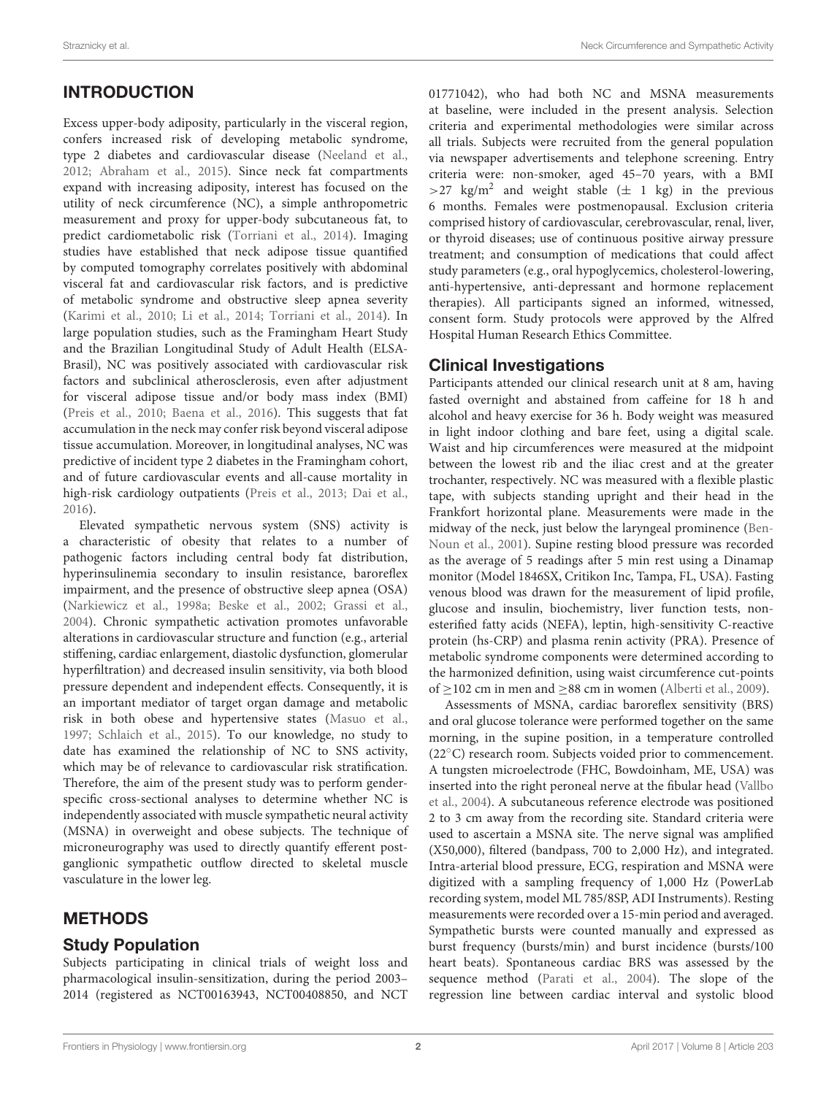# INTRODUCTION

Excess upper-body adiposity, particularly in the visceral region, confers increased risk of developing metabolic syndrome, type 2 diabetes and cardiovascular disease [\(Neeland et al.,](#page-7-0) [2012;](#page-7-0) [Abraham et al., 2015\)](#page-7-1). Since neck fat compartments expand with increasing adiposity, interest has focused on the utility of neck circumference (NC), a simple anthropometric measurement and proxy for upper-body subcutaneous fat, to predict cardiometabolic risk [\(Torriani et al., 2014\)](#page-8-0). Imaging studies have established that neck adipose tissue quantified by computed tomography correlates positively with abdominal visceral fat and cardiovascular risk factors, and is predictive of metabolic syndrome and obstructive sleep apnea severity [\(Karimi et al., 2010;](#page-7-2) [Li et al., 2014;](#page-7-3) [Torriani et al., 2014\)](#page-8-0). In large population studies, such as the Framingham Heart Study and the Brazilian Longitudinal Study of Adult Health (ELSA-Brasil), NC was positively associated with cardiovascular risk factors and subclinical atherosclerosis, even after adjustment for visceral adipose tissue and/or body mass index (BMI) [\(Preis et al., 2010;](#page-7-4) [Baena et al., 2016\)](#page-7-5). This suggests that fat accumulation in the neck may confer risk beyond visceral adipose tissue accumulation. Moreover, in longitudinal analyses, NC was predictive of incident type 2 diabetes in the Framingham cohort, and of future cardiovascular events and all-cause mortality in high-risk cardiology outpatients [\(Preis et al., 2013;](#page-7-6) [Dai et al.,](#page-7-7) [2016\)](#page-7-7).

Elevated sympathetic nervous system (SNS) activity is a characteristic of obesity that relates to a number of pathogenic factors including central body fat distribution, hyperinsulinemia secondary to insulin resistance, baroreflex impairment, and the presence of obstructive sleep apnea (OSA) [\(Narkiewicz et al., 1998a;](#page-7-8) [Beske et al., 2002;](#page-7-9) [Grassi et al.,](#page-7-10) [2004\)](#page-7-10). Chronic sympathetic activation promotes unfavorable alterations in cardiovascular structure and function (e.g., arterial stiffening, cardiac enlargement, diastolic dysfunction, glomerular hyperfiltration) and decreased insulin sensitivity, via both blood pressure dependent and independent effects. Consequently, it is an important mediator of target organ damage and metabolic risk in both obese and hypertensive states [\(Masuo et al.,](#page-7-11) [1997;](#page-7-11) [Schlaich et al., 2015\)](#page-8-1). To our knowledge, no study to date has examined the relationship of NC to SNS activity, which may be of relevance to cardiovascular risk stratification. Therefore, the aim of the present study was to perform genderspecific cross-sectional analyses to determine whether NC is independently associated with muscle sympathetic neural activity (MSNA) in overweight and obese subjects. The technique of microneurography was used to directly quantify efferent postganglionic sympathetic outflow directed to skeletal muscle vasculature in the lower leg.

## METHODS

## Study Population

Subjects participating in clinical trials of weight loss and pharmacological insulin-sensitization, during the period 2003– 2014 (registered as NCT00163943, NCT00408850, and NCT

01771042), who had both NC and MSNA measurements at baseline, were included in the present analysis. Selection criteria and experimental methodologies were similar across all trials. Subjects were recruited from the general population via newspaper advertisements and telephone screening. Entry criteria were: non-smoker, aged 45–70 years, with a BMI >27 kg/m<sup>2</sup> and weight stable  $(\pm 1 \text{ kg})$  in the previous 6 months. Females were postmenopausal. Exclusion criteria comprised history of cardiovascular, cerebrovascular, renal, liver, or thyroid diseases; use of continuous positive airway pressure treatment; and consumption of medications that could affect study parameters (e.g., oral hypoglycemics, cholesterol-lowering, anti-hypertensive, anti-depressant and hormone replacement therapies). All participants signed an informed, witnessed, consent form. Study protocols were approved by the Alfred Hospital Human Research Ethics Committee.

### Clinical Investigations

Participants attended our clinical research unit at 8 am, having fasted overnight and abstained from caffeine for 18 h and alcohol and heavy exercise for 36 h. Body weight was measured in light indoor clothing and bare feet, using a digital scale. Waist and hip circumferences were measured at the midpoint between the lowest rib and the iliac crest and at the greater trochanter, respectively. NC was measured with a flexible plastic tape, with subjects standing upright and their head in the Frankfort horizontal plane. Measurements were made in the midway of the neck, just below the laryngeal prominence (Ben-Noun et al., [2001\)](#page-7-12). Supine resting blood pressure was recorded as the average of 5 readings after 5 min rest using a Dinamap monitor (Model 1846SX, Critikon Inc, Tampa, FL, USA). Fasting venous blood was drawn for the measurement of lipid profile, glucose and insulin, biochemistry, liver function tests, nonesterified fatty acids (NEFA), leptin, high-sensitivity C-reactive protein (hs-CRP) and plasma renin activity (PRA). Presence of metabolic syndrome components were determined according to the harmonized definition, using waist circumference cut-points of ≥102 cm in men and ≥88 cm in women [\(Alberti et al., 2009\)](#page-7-13).

Assessments of MSNA, cardiac baroreflex sensitivity (BRS) and oral glucose tolerance were performed together on the same morning, in the supine position, in a temperature controlled (22◦C) research room. Subjects voided prior to commencement. A tungsten microelectrode (FHC, Bowdoinham, ME, USA) was inserted into the right peroneal nerve at the fibular head (Vallbo et al., [2004\)](#page-8-2). A subcutaneous reference electrode was positioned 2 to 3 cm away from the recording site. Standard criteria were used to ascertain a MSNA site. The nerve signal was amplified (X50,000), filtered (bandpass, 700 to 2,000 Hz), and integrated. Intra-arterial blood pressure, ECG, respiration and MSNA were digitized with a sampling frequency of 1,000 Hz (PowerLab recording system, model ML 785/8SP, ADI Instruments). Resting measurements were recorded over a 15-min period and averaged. Sympathetic bursts were counted manually and expressed as burst frequency (bursts/min) and burst incidence (bursts/100 heart beats). Spontaneous cardiac BRS was assessed by the sequence method [\(Parati et al., 2004\)](#page-7-14). The slope of the regression line between cardiac interval and systolic blood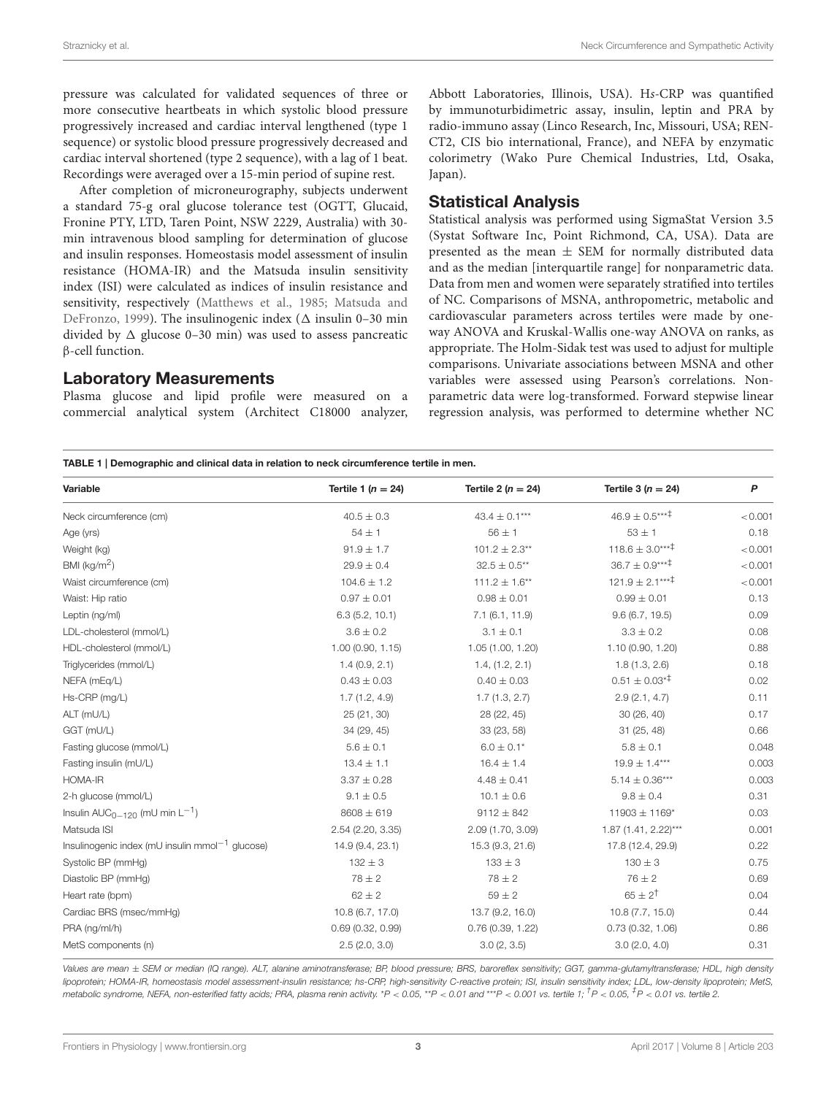pressure was calculated for validated sequences of three or more consecutive heartbeats in which systolic blood pressure progressively increased and cardiac interval lengthened (type 1 sequence) or systolic blood pressure progressively decreased and cardiac interval shortened (type 2 sequence), with a lag of 1 beat. Recordings were averaged over a 15-min period of supine rest.

After completion of microneurography, subjects underwent a standard 75-g oral glucose tolerance test (OGTT, Glucaid, Fronine PTY, LTD, Taren Point, NSW 2229, Australia) with 30 min intravenous blood sampling for determination of glucose and insulin responses. Homeostasis model assessment of insulin resistance (HOMA-IR) and the Matsuda insulin sensitivity index (ISI) were calculated as indices of insulin resistance and sensitivity, respectively [\(Matthews et al., 1985;](#page-7-15) Matsuda and DeFronzo, [1999\)](#page-7-16). The insulinogenic index ( $\Delta$  insulin 0–30 min divided by  $\Delta$  glucose 0–30 min) was used to assess pancreatic β-cell function.

#### Laboratory Measurements

Plasma glucose and lipid profile were measured on a commercial analytical system (Architect C18000 analyzer, Abbott Laboratories, Illinois, USA). Hs-CRP was quantified by immunoturbidimetric assay, insulin, leptin and PRA by radio-immuno assay (Linco Research, Inc, Missouri, USA; REN-CT2, CIS bio international, France), and NEFA by enzymatic colorimetry (Wako Pure Chemical Industries, Ltd, Osaka, Japan).

#### Statistical Analysis

Statistical analysis was performed using SigmaStat Version 3.5 (Systat Software Inc, Point Richmond, CA, USA). Data are presented as the mean  $\pm$  SEM for normally distributed data and as the median [interquartile range] for nonparametric data. Data from men and women were separately stratified into tertiles of NC. Comparisons of MSNA, anthropometric, metabolic and cardiovascular parameters across tertiles were made by oneway ANOVA and Kruskal-Wallis one-way ANOVA on ranks, as appropriate. The Holm-Sidak test was used to adjust for multiple comparisons. Univariate associations between MSNA and other variables were assessed using Pearson's correlations. Nonparametric data were log-transformed. Forward stepwise linear regression analysis, was performed to determine whether NC

<span id="page-2-0"></span>TABLE 1 | Demographic and clinical data in relation to neck circumference tertile in men.

| Variable                                              | Tertile 1 ( $n = 24$ ) | Tertile 2 ( $n = 24$ ) | Tertile 3 ( $n = 24$ )        | P       |
|-------------------------------------------------------|------------------------|------------------------|-------------------------------|---------|
| Neck circumference (cm)                               | $40.5 \pm 0.3$         | $43.4 \pm 0.1***$      | $46.9 \pm 0.5***^{\ddagger}$  | < 0.001 |
| Age (yrs)                                             | $54 \pm 1$             | $56\pm1$               | $53 \pm 1$                    | 0.18    |
| Weight (kg)                                           | $91.9 \pm 1.7$         | $101.2 \pm 2.3**$      | $118.6 \pm 3.0***^{\ddagger}$ | < 0.001 |
| BMI ( $kg/m2$ )                                       | $29.9 \pm 0.4$         | $32.5 \pm 0.5**$       | $36.7 \pm 0.9***^{\ddagger}$  | < 0.001 |
| Waist circumference (cm)                              | $104.6 \pm 1.2$        | $111.2 \pm 1.6**$      | $121.9 \pm 2.1***^{\ddagger}$ | < 0.001 |
| Waist: Hip ratio                                      | $0.97 \pm 0.01$        | $0.98 \pm 0.01$        | $0.99 \pm 0.01$               | 0.13    |
| Leptin (ng/ml)                                        | 6.3(5.2, 10.1)         | 7.1(6.1, 11.9)         | 9.6(6.7, 19.5)                | 0.09    |
| LDL-cholesterol (mmol/L)                              | $3.6 \pm 0.2$          | $3.1 \pm 0.1$          | $3.3 \pm 0.2$                 | 0.08    |
| HDL-cholesterol (mmol/L)                              | 1.00(0.90, 1.15)       | 1.05 (1.00, 1.20)      | 1.10 (0.90, 1.20)             | 0.88    |
| Triglycerides (mmol/L)                                | 1.4(0.9, 2.1)          | 1.4, (1.2, 2.1)        | 1.8(1.3, 2.6)                 | 0.18    |
| NEFA (mEq/L)                                          | $0.43 \pm 0.03$        | $0.40 \pm 0.03$        | $0.51 \pm 0.03^{* \ddagger}$  | 0.02    |
| Hs-CRP (mg/L)                                         | 1.7(1.2, 4.9)          | 1.7(1.3, 2.7)          | 2.9(2.1, 4.7)                 | 0.11    |
| ALT (mU/L)                                            | 25 (21, 30)            | 28 (22, 45)            | 30(26, 40)                    | 0.17    |
| GGT (mU/L)                                            | 34 (29, 45)            | 33 (23, 58)            | 31(25, 48)                    | 0.66    |
| Fasting glucose (mmol/L)                              | $5.6 \pm 0.1$          | $6.0 \pm 0.1*$         | $5.8 \pm 0.1$                 | 0.048   |
| Fasting insulin (mU/L)                                | $13.4 \pm 1.1$         | $16.4 \pm 1.4$         | $19.9 \pm 1.4***$             | 0.003   |
| HOMA-IR                                               | $3.37 \pm 0.28$        | $4.48 \pm 0.41$        | $5.14 \pm 0.36***$            | 0.003   |
| 2-h glucose (mmol/L)                                  | $9.1 \pm 0.5$          | $10.1 \pm 0.6$         | $9.8 \pm 0.4$                 | 0.31    |
| Insulin $AUC_{0-120}$ (mU min $L^{-1}$ )              | $8608 \pm 619$         | $9112 \pm 842$         | $11903 \pm 1169^*$            | 0.03    |
| Matsuda ISI                                           | 2.54 (2.20, 3.35)      | 2.09 (1.70, 3.09)      | $1.87$ (1.41, 2.22)***        | 0.001   |
| Insulinogenic index (mU insulin mmol $^{-1}$ glucose) | 14.9 (9.4, 23.1)       | 15.3 (9.3, 21.6)       | 17.8 (12.4, 29.9)             | 0.22    |
| Systolic BP (mmHg)                                    | $132 \pm 3$            | $133 \pm 3$            | $130 \pm 3$                   | 0.75    |
| Diastolic BP (mmHg)                                   | $78 \pm 2$             | $78 \pm 2$             | $76 \pm 2$                    | 0.69    |
| Heart rate (bpm)                                      | $62 \pm 2$             | $59 \pm 2$             | $65 \pm 2^{+}$                | 0.04    |
| Cardiac BRS (msec/mmHg)                               | 10.8 (6.7, 17.0)       | 13.7 (9.2, 16.0)       | 10.8(7.7, 15.0)               | 0.44    |
| PRA (ng/ml/h)                                         | 0.69(0.32, 0.99)       | 0.76(0.39, 1.22)       | 0.73(0.32, 1.06)              | 0.86    |
| MetS components (n)                                   | 2.5(2.0, 3.0)          | 3.0(2, 3.5)            | 3.0(2.0, 4.0)                 | 0.31    |

*Values are mean* ± *SEM or median (IQ range). ALT, alanine aminotransferase; BP, blood pressure; BRS, baroreflex sensitivity; GGT, gamma-glutamyltransferase; HDL, high density* lipoprotein; HOMA-IR, homeostasis model assessment-insulin resistance; hs-CRP, high-sensitivity C-reactive protein; ISI, insulin sensitivity index; LDL, low-density lipoprotein; MetS, metabolic syndrome, NEFA, non-esterified fatty acids; PRA, plasma renin activity. \*P < 0.05, \*\*P < 0.01 and \*\*\*P < 0.001 vs. tertile 1; <sup>†</sup>P < 0.05, <sup>‡</sup>P < 0.01 vs. tertile 2.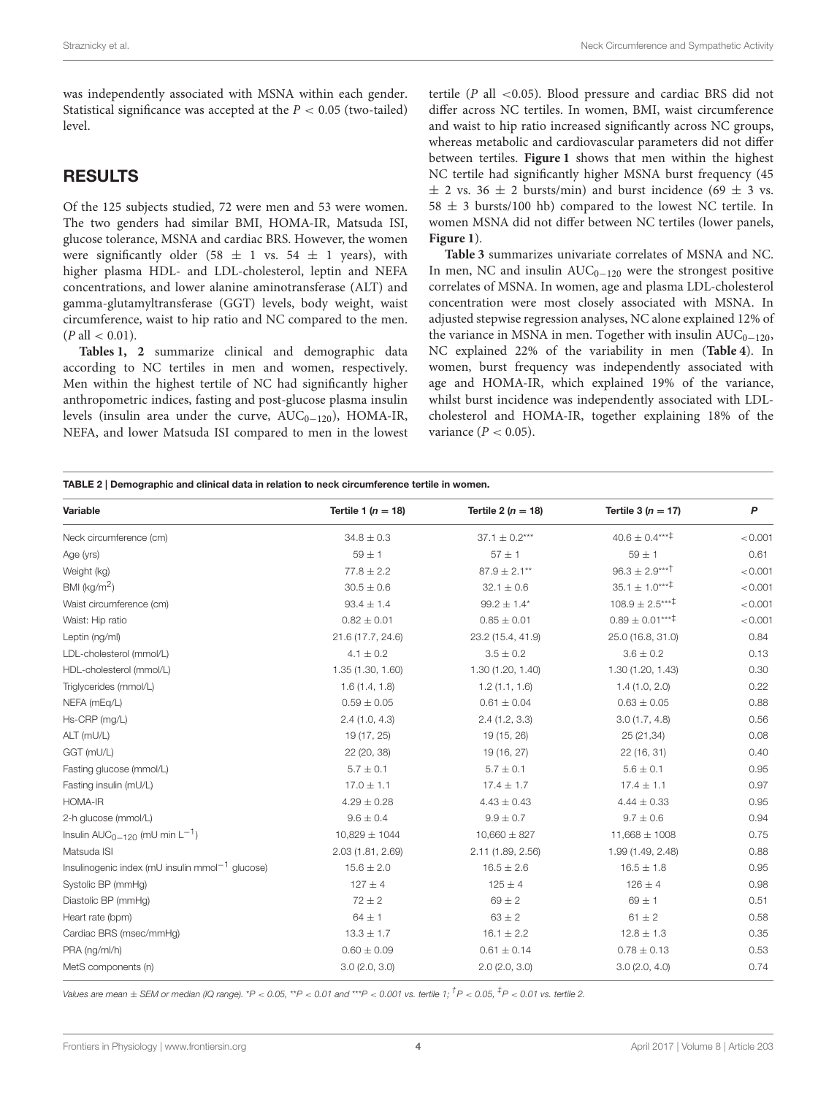was independently associated with MSNA within each gender. Statistical significance was accepted at the  $P < 0.05$  (two-tailed) level.

#### RESULTS

Of the 125 subjects studied, 72 were men and 53 were women. The two genders had similar BMI, HOMA-IR, Matsuda ISI, glucose tolerance, MSNA and cardiac BRS. However, the women were significantly older (58  $\pm$  1 vs. 54  $\pm$  1 years), with higher plasma HDL- and LDL-cholesterol, leptin and NEFA concentrations, and lower alanine aminotransferase (ALT) and gamma-glutamyltransferase (GGT) levels, body weight, waist circumference, waist to hip ratio and NC compared to the men.  $(P \text{ all} < 0.01)$ .

**[Tables 1,](#page-2-0) [2](#page-3-0)** summarize clinical and demographic data according to NC tertiles in men and women, respectively. Men within the highest tertile of NC had significantly higher anthropometric indices, fasting and post-glucose plasma insulin levels (insulin area under the curve,  $AUC_{0-120}$ ), HOMA-IR, NEFA, and lower Matsuda ISI compared to men in the lowest

tertile ( $P$  all <0.05). Blood pressure and cardiac BRS did not differ across NC tertiles. In women, BMI, waist circumference and waist to hip ratio increased significantly across NC groups, whereas metabolic and cardiovascular parameters did not differ between tertiles. **[Figure 1](#page-4-0)** shows that men within the highest NC tertile had significantly higher MSNA burst frequency (45  $\pm$  2 vs. 36  $\pm$  2 bursts/min) and burst incidence (69  $\pm$  3 vs.  $58 \pm 3$  bursts/100 hb) compared to the lowest NC tertile. In women MSNA did not differ between NC tertiles (lower panels, **[Figure 1](#page-4-0)**).

**[Table 3](#page-5-0)** summarizes univariate correlates of MSNA and NC. In men, NC and insulin  $AUC_{0-120}$  were the strongest positive correlates of MSNA. In women, age and plasma LDL-cholesterol concentration were most closely associated with MSNA. In adjusted stepwise regression analyses, NC alone explained 12% of the variance in MSNA in men. Together with insulin  $AUC_{0-120}$ , NC explained 22% of the variability in men (**[Table 4](#page-6-0)**). In women, burst frequency was independently associated with age and HOMA-IR, which explained 19% of the variance, whilst burst incidence was independently associated with LDLcholesterol and HOMA-IR, together explaining 18% of the variance ( $P < 0.05$ ).

<span id="page-3-0"></span>TABLE 2 | Demographic and clinical data in relation to neck circumference tertile in women. Variable **Tertile 1** ( $n = 18$ ) Tertile 2 ( $n = 18$ ) Tertile 3 ( $n = 17$ ) Tertile 3 ( $n = 17$ ) P Neck circumference (cm) 34.8 ± 0.3 37.1 ± 0.2\*\*\* 40.6 ± 0.4\*\*\*  $\pm$  0.001 Age (yrs) 59  $\pm$  1 57  $\pm$  1 57  $\pm$  1 59  $\pm$  1 59  $\pm$  1 59  $\pm$  1 59  $\pm$  1 59  $\pm$  1 59  $\pm$  1 59  $\pm$  1 59  $\pm$  1 59  $\pm$  1 59  $\pm$  1 59  $\pm$  1 59  $\pm$  1 59  $\pm$  1 59  $\pm$  1 59  $\pm$  1 59  $\pm$  1 59  $\pm$  1 59  $\pm$  1 5 Weight (kg)  $77.8 \pm 2.2$   $87.9 \pm 2.1^{**}$   $96.3 \pm 2.9^{***}$   $< 0.001$  $BMl$  (kg/m<sup>2</sup>)  $30.5 \pm 0.6$   $32.1 \pm 0.6$   $35.1 \pm 1.0***^{\dagger}$   $< 0.001$ Waist circumference (cm)  $93.4 \pm 1.4$   $99.2 \pm 1.4$   $108.9 \pm 2.5$ <sup>\*\*\*\*</sup>  $< 0.001$ Waist: Hip ratio  $0.82 \pm 0.01$   $0.82 \pm 0.01$   $0.85 \pm 0.01$   $0.89 \pm 0.01^{***}$   $< 0.001$ Leptin (ng/ml) 21.6 (17.7, 24.6) 23.2 (15.4, 41.9) 25.0 (16.8, 31.0) 0.84 LDL-cholesterol (mmol/L) 4.1 ± 0.2 3.5 ± 0.2 3.6 ± 0.2 3.6 ± 0.2 3.6 ± 0.2 0.13 HDL-cholesterol (mmol/L) 1.35 (1.30, 1.60) 1.30 (1.20, 1.40) 1.30 (1.20, 1.43) 0.30 Triglycerides (mmol/L)  $1.6 (1.4, 1.8)$   $1.2 (1.1, 1.6)$   $1.4 (1.0, 2.0)$   $0.22$  $NEFA (mEq/L)$  0.59  $\pm 0.05$  0.61  $\pm 0.04$  0.63  $\pm 0.05$  0.88 Hs-CRP (mg/L) 2.4 (1.0, 4.3) 2.4 (1.2, 3.3) 3.0 (1.7, 4.8) 0.56 ALT (mU/L) 19 (17, 25) 19 (17, 25) 19 (15, 26) 25 (21, 34) 0.08 GGT (mU/L) 22 (20, 38) 19 (16, 27) 22 (16, 31) 0.40 Fasting glucose (mmol/L)  $5.7 \pm 0.1$   $5.7 \pm 0.1$   $5.6 \pm 0.1$   $0.95$ Fasting insulin (mU/L)  $17.0 \pm 1.1$   $17.4 \pm 1.7$   $17.4 \pm 1.1$   $0.97$  $4.29 \pm 0.28$   $4.43 \pm 0.43$   $4.44 \pm 0.33$   $0.95$  $2-h$  glucose (mmol/L)  $9.6 \pm 0.4$   $9.6 \pm 0.7$   $9.7 \pm 0.6$  0.94 Insulin AUC<sub>0−120</sub> (mU min L<sup>-1</sup>) ) 10,829  $\pm$  1044 10,660  $\pm$  827 11,668  $\pm$  1008 10.75 Matsuda ISI 2.03 (1.81, 2.69) 2.11 (1.89, 2.56) 1.99 (1.49, 2.48) 0.88 Insulinogenic index (mU insulin mmol<sup>-1</sup> glucose) 15.6 ± 2.0 16.5 ± 2.6 16.5 ± 1.8 0.95 Systolic BP (mmHg)  $127 \pm 4$   $126 \pm 4$   $126 \pm 4$  0.98 Diastolic BP (mmHg)  $72 \pm 2$  69  $\pm 2$  69  $\pm 1$  0.51 Heart rate (bpm) 64 ± 1 63 ± 2 61 ± 2 0.58 Cardiac BRS (msec/mmHg)  $13.3 \pm 1.7$   $16.1 \pm 2.2$   $12.8 \pm 1.3$  0.35 PRA (ng/ml/h)  $0.60 \pm 0.09$  0.61  $\pm 0.14$  0.78  $\pm 0.13$  0.53 MetS components (n)  $3.0(2.0, 3.0)$   $2.0(2.0, 3.0)$   $3.0(2.0, 4.0)$   $0.74$ 

Values are mean  $\pm$  SEM or median (IQ range). \*P < 0.05, \*\*P < 0.01 and \*\*\*P < 0.001 vs. tertile 1;  $^\dagger$ P < 0.05,  $^\dagger$ P < 0.01 vs. tertile 2.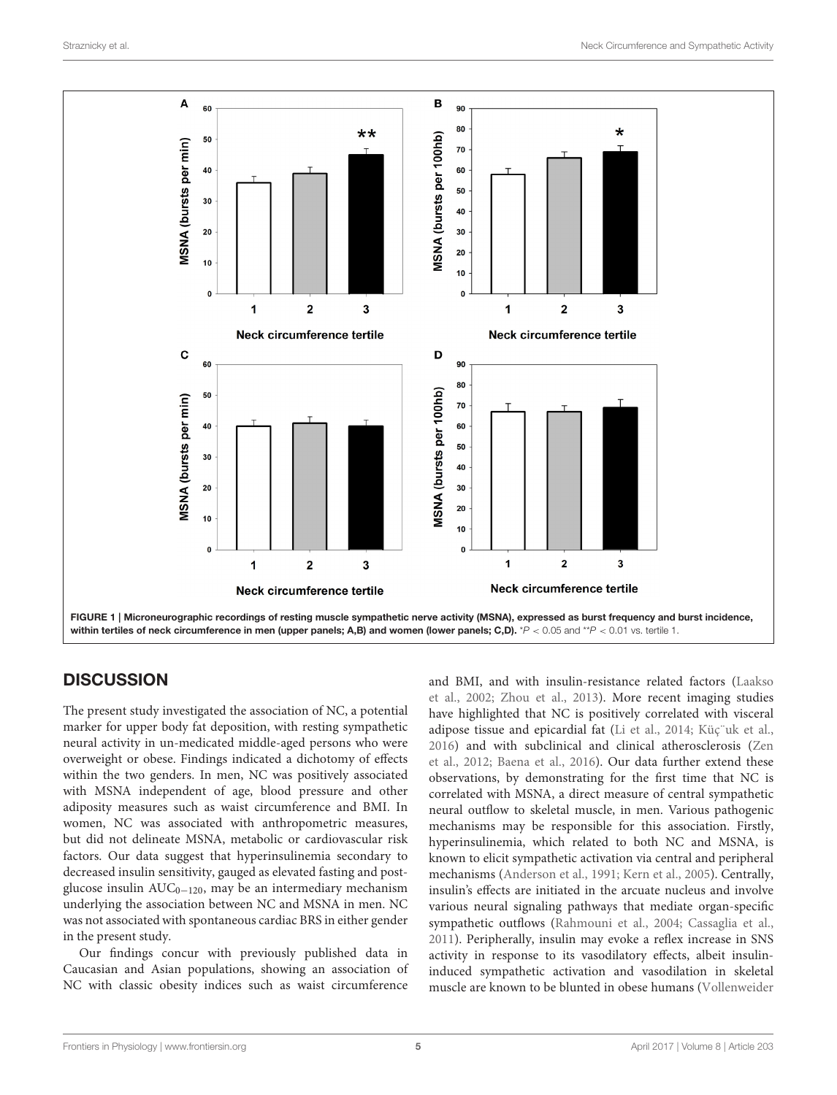

# <span id="page-4-0"></span>**DISCUSSION**

The present study investigated the association of NC, a potential marker for upper body fat deposition, with resting sympathetic neural activity in un-medicated middle-aged persons who were overweight or obese. Findings indicated a dichotomy of effects within the two genders. In men, NC was positively associated with MSNA independent of age, blood pressure and other adiposity measures such as waist circumference and BMI. In women, NC was associated with anthropometric measures, but did not delineate MSNA, metabolic or cardiovascular risk factors. Our data suggest that hyperinsulinemia secondary to decreased insulin sensitivity, gauged as elevated fasting and postglucose insulin  $AUC_{0-120}$ , may be an intermediary mechanism underlying the association between NC and MSNA in men. NC was not associated with spontaneous cardiac BRS in either gender in the present study.

Our findings concur with previously published data in Caucasian and Asian populations, showing an association of NC with classic obesity indices such as waist circumference

and BMI, and with insulin-resistance related factors (Laakso et al., [2002;](#page-7-17) [Zhou et al., 2013\)](#page-8-3). More recent imaging studies have highlighted that NC is positively correlated with visceral adipose tissue and epicardial fat [\(Li et al., 2014;](#page-7-3) [Küç¨uk et al.,](#page-7-18) [2016\)](#page-7-18) and with subclinical and clinical atherosclerosis (Zen et al., [2012;](#page-8-4) [Baena et al., 2016\)](#page-7-5). Our data further extend these observations, by demonstrating for the first time that NC is correlated with MSNA, a direct measure of central sympathetic neural outflow to skeletal muscle, in men. Various pathogenic mechanisms may be responsible for this association. Firstly, hyperinsulinemia, which related to both NC and MSNA, is known to elicit sympathetic activation via central and peripheral mechanisms [\(Anderson et al., 1991;](#page-7-19) [Kern et al., 2005\)](#page-7-20). Centrally, insulin's effects are initiated in the arcuate nucleus and involve various neural signaling pathways that mediate organ-specific sympathetic outflows [\(Rahmouni et al., 2004;](#page-7-21) [Cassaglia et al.,](#page-7-22) [2011\)](#page-7-22). Peripherally, insulin may evoke a reflex increase in SNS activity in response to its vasodilatory effects, albeit insulininduced sympathetic activation and vasodilation in skeletal muscle are known to be blunted in obese humans (Vollenweider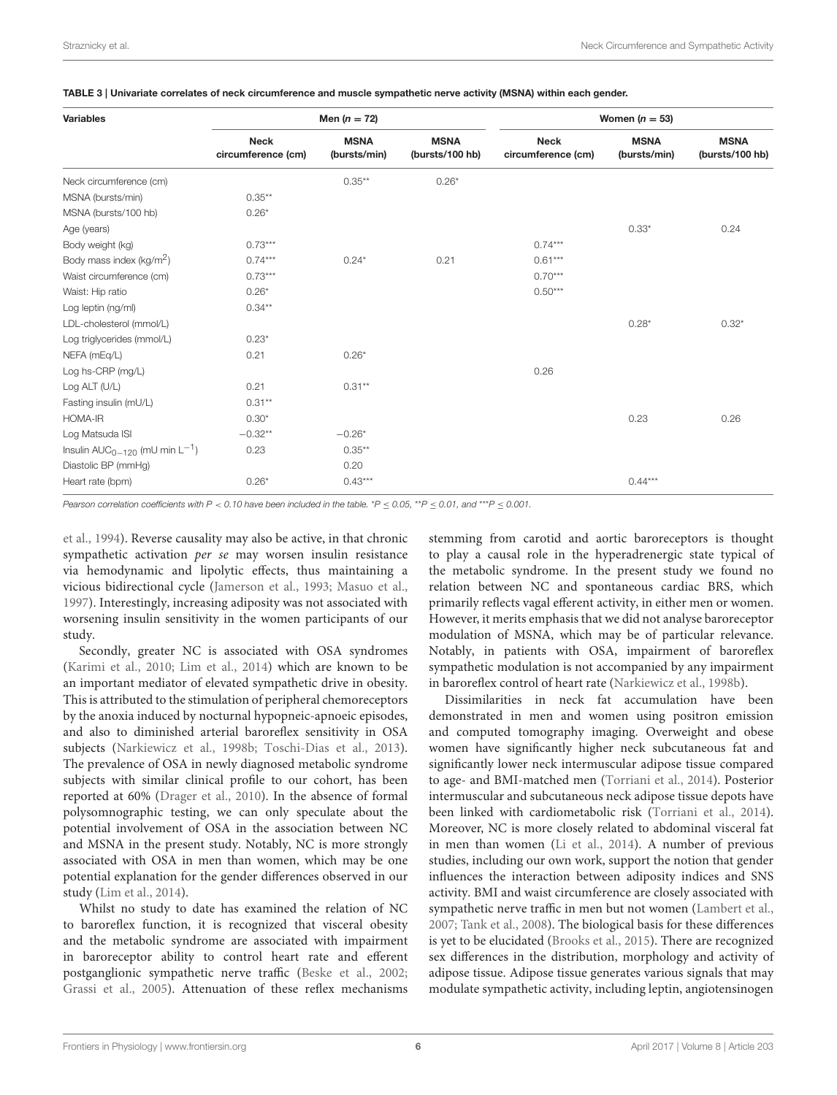| <b>Variables</b>                         | Men $(n = 72)$                    |                             |                                | Women $(n = 53)$                  |                             |                                |  |
|------------------------------------------|-----------------------------------|-----------------------------|--------------------------------|-----------------------------------|-----------------------------|--------------------------------|--|
|                                          | <b>Neck</b><br>circumference (cm) | <b>MSNA</b><br>(bursts/min) | <b>MSNA</b><br>(bursts/100 hb) | <b>Neck</b><br>circumference (cm) | <b>MSNA</b><br>(bursts/min) | <b>MSNA</b><br>(bursts/100 hb) |  |
| Neck circumference (cm)                  |                                   | $0.35***$                   | $0.26*$                        |                                   |                             |                                |  |
| MSNA (bursts/min)                        | $0.35***$                         |                             |                                |                                   |                             |                                |  |
| MSNA (bursts/100 hb)                     | $0.26*$                           |                             |                                |                                   |                             |                                |  |
| Age (years)                              |                                   |                             |                                |                                   | $0.33*$                     | 0.24                           |  |
| Body weight (kg)                         | $0.73***$                         |                             |                                | $0.74***$                         |                             |                                |  |
| Body mass index (kg/m <sup>2</sup> )     | $0.74***$                         | $0.24*$                     | 0.21                           | $0.61***$                         |                             |                                |  |
| Waist circumference (cm)                 | $0.73***$                         |                             |                                | $0.70***$                         |                             |                                |  |
| Waist: Hip ratio                         | $0.26*$                           |                             |                                | $0.50***$                         |                             |                                |  |
| Log leptin (ng/ml)                       | $0.34***$                         |                             |                                |                                   |                             |                                |  |
| LDL-cholesterol (mmol/L)                 |                                   |                             |                                |                                   | $0.28*$                     | $0.32*$                        |  |
| Log triglycerides (mmol/L)               | $0.23*$                           |                             |                                |                                   |                             |                                |  |
| NEFA (mEq/L)                             | 0.21                              | $0.26*$                     |                                |                                   |                             |                                |  |
| Log hs-CRP (mg/L)                        |                                   |                             |                                | 0.26                              |                             |                                |  |
| Log ALT (U/L)                            | 0.21                              | $0.31***$                   |                                |                                   |                             |                                |  |
| Fasting insulin (mU/L)                   | $0.31**$                          |                             |                                |                                   |                             |                                |  |
| HOMA-IR                                  | $0.30*$                           |                             |                                |                                   | 0.23                        | 0.26                           |  |
| Log Matsuda ISI                          | $-0.32**$                         | $-0.26*$                    |                                |                                   |                             |                                |  |
| Insulin $AUC_{0-120}$ (mU min $L^{-1}$ ) | 0.23                              | $0.35***$                   |                                |                                   |                             |                                |  |
| Diastolic BP (mmHg)                      |                                   | 0.20                        |                                |                                   |                             |                                |  |
| Heart rate (bpm)                         | $0.26*$                           | $0.43***$                   |                                |                                   | $0.44***$                   |                                |  |

<span id="page-5-0"></span>TABLE 3 | Univariate correlates of neck circumference and muscle sympathetic nerve activity (MSNA) within each gender.

*Pearson correlation coefficients with P* < *0.10 have been included in the table.* \**P* ≤ *0.05,* \*\**P* ≤ *0.01, and* \*\*\**P* ≤ *0.001.*

et al., [1994\)](#page-8-5). Reverse causality may also be active, in that chronic sympathetic activation per se may worsen insulin resistance via hemodynamic and lipolytic effects, thus maintaining a vicious bidirectional cycle [\(Jamerson et al., 1993;](#page-7-23) [Masuo et al.,](#page-7-11) [1997\)](#page-7-11). Interestingly, increasing adiposity was not associated with worsening insulin sensitivity in the women participants of our study.

Secondly, greater NC is associated with OSA syndromes [\(Karimi et al., 2010;](#page-7-2) [Lim et al., 2014\)](#page-7-24) which are known to be an important mediator of elevated sympathetic drive in obesity. This is attributed to the stimulation of peripheral chemoreceptors by the anoxia induced by nocturnal hypopneic-apnoeic episodes, and also to diminished arterial baroreflex sensitivity in OSA subjects [\(Narkiewicz et al., 1998b;](#page-7-25) [Toschi-Dias et al., 2013\)](#page-8-6). The prevalence of OSA in newly diagnosed metabolic syndrome subjects with similar clinical profile to our cohort, has been reported at 60% [\(Drager et al., 2010\)](#page-7-26). In the absence of formal polysomnographic testing, we can only speculate about the potential involvement of OSA in the association between NC and MSNA in the present study. Notably, NC is more strongly associated with OSA in men than women, which may be one potential explanation for the gender differences observed in our study [\(Lim et al., 2014\)](#page-7-24).

Whilst no study to date has examined the relation of NC to baroreflex function, it is recognized that visceral obesity and the metabolic syndrome are associated with impairment in baroreceptor ability to control heart rate and efferent postganglionic sympathetic nerve traffic [\(Beske et al., 2002;](#page-7-9) [Grassi et al., 2005\)](#page-7-27). Attenuation of these reflex mechanisms stemming from carotid and aortic baroreceptors is thought to play a causal role in the hyperadrenergic state typical of the metabolic syndrome. In the present study we found no relation between NC and spontaneous cardiac BRS, which primarily reflects vagal efferent activity, in either men or women. However, it merits emphasis that we did not analyse baroreceptor modulation of MSNA, which may be of particular relevance. Notably, in patients with OSA, impairment of baroreflex sympathetic modulation is not accompanied by any impairment in baroreflex control of heart rate [\(Narkiewicz et al., 1998b\)](#page-7-25).

Dissimilarities in neck fat accumulation have been demonstrated in men and women using positron emission and computed tomography imaging. Overweight and obese women have significantly higher neck subcutaneous fat and significantly lower neck intermuscular adipose tissue compared to age- and BMI-matched men [\(Torriani et al., 2014\)](#page-8-0). Posterior intermuscular and subcutaneous neck adipose tissue depots have been linked with cardiometabolic risk [\(Torriani et al., 2014\)](#page-8-0). Moreover, NC is more closely related to abdominal visceral fat in men than women [\(Li et al., 2014\)](#page-7-3). A number of previous studies, including our own work, support the notion that gender influences the interaction between adiposity indices and SNS activity. BMI and waist circumference are closely associated with sympathetic nerve traffic in men but not women [\(Lambert et al.,](#page-7-28) [2007;](#page-7-28) [Tank et al., 2008\)](#page-8-7). The biological basis for these differences is yet to be elucidated [\(Brooks et al., 2015\)](#page-7-29). There are recognized sex differences in the distribution, morphology and activity of adipose tissue. Adipose tissue generates various signals that may modulate sympathetic activity, including leptin, angiotensinogen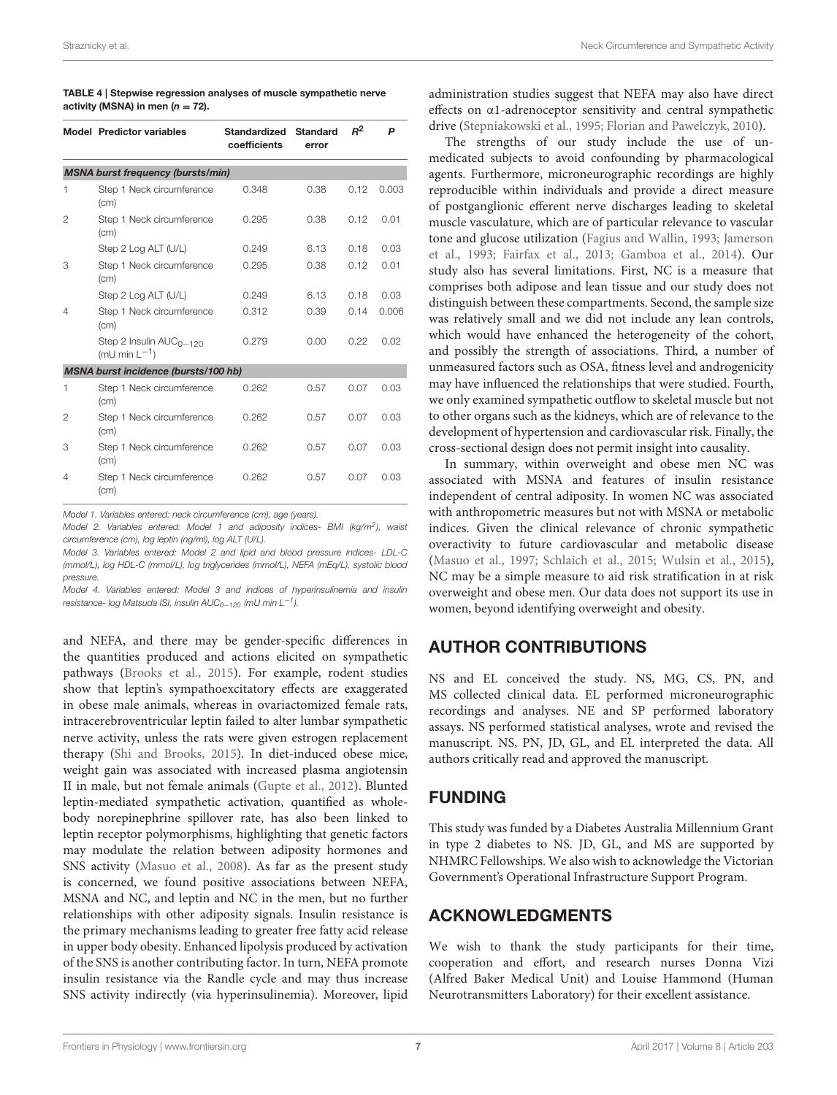|                | <b>Model Predictor variables</b>                   | Standardized<br>coefficients | <b>Standard</b><br>error | $R^2$ | P     |
|----------------|----------------------------------------------------|------------------------------|--------------------------|-------|-------|
|                | <b>MSNA burst frequency (bursts/min)</b>           |                              |                          |       |       |
| 1              | Step 1 Neck circumference<br>(cm)                  | 0.348                        | 0.38                     | 0.12  | 0.003 |
| 2              | Step 1 Neck circumference<br>(cm)                  | 0.295                        | 0.38                     | 0.12  | 0.01  |
|                | Step 2 Log ALT (U/L)                               | 0.249                        | 6.13                     | 0.18  | 0.03  |
| 3              | Step 1 Neck circumference<br>(cm)                  | 0.295                        | 0.38                     | 0.12  | 0.01  |
|                | Step 2 Log ALT (U/L)                               | 0.249                        | 6.13                     | 0.18  | 0.03  |
| $\overline{4}$ | Step 1 Neck circumference<br>(cm)                  | 0.312                        | 0.39                     | 0.14  | 0.006 |
|                | Step 2 Insulin $AUC_{0-120}$<br>(mU min $L^{-1}$ ) | 0.279                        | 0.00                     | 0.22  | 0.02  |
|                | MSNA burst incidence (bursts/100 hb)               |                              |                          |       |       |
| 1              | Step 1 Neck circumference<br>(cm)                  | 0.262                        | 0.57                     | 0.07  | 0.03  |
| 2              | Step 1 Neck circumference<br>(cm)                  | 0.262                        | 0.57                     | 0.07  | 0.03  |
| 3              | Step 1 Neck circumference<br>(cm)                  | 0.262                        | 0.57                     | 0.07  | 0.03  |
| 4              | Step 1 Neck circumference<br>(cm)                  | 0.262                        | 0.57                     | 0.07  | 0.03  |

<span id="page-6-0"></span>

| TABLE 4   Stepwise regression analyses of muscle sympathetic nerve |
|--------------------------------------------------------------------|
| activity (MSNA) in men ( $n = 72$ ).                               |

*Model 1. Variables entered: neck circumference (cm), age (years).*

*Model 2. Variables entered: Model 1 and adiposity indices- BMI (kg/m<sup>2</sup> ), waist circumference (cm), log leptin (ng/ml), log ALT (U/L).*

*Model 3. Variables entered: Model 2 and lipid and blood pressure indices- LDL-C (mmol/L), log HDL-C (mmol/L), log triglycerides (mmol/L), NEFA (mEq/L), systolic blood pressure.*

*Model 4. Variables entered: Model 3 and indices of hyperinsulinemia and insulin resistance- log Matsuda ISI, insulin AUC0*−*<sup>120</sup> (mU min L*−*<sup>1</sup> ).*

and NEFA, and there may be gender-specific differences in the quantities produced and actions elicited on sympathetic pathways [\(Brooks et al., 2015\)](#page-7-29). For example, rodent studies show that leptin's sympathoexcitatory effects are exaggerated in obese male animals, whereas in ovariactomized female rats, intracerebroventricular leptin failed to alter lumbar sympathetic nerve activity, unless the rats were given estrogen replacement therapy [\(Shi and Brooks, 2015\)](#page-8-8). In diet-induced obese mice, weight gain was associated with increased plasma angiotensin II in male, but not female animals [\(Gupte et al., 2012\)](#page-7-30). Blunted leptin-mediated sympathetic activation, quantified as wholebody norepinephrine spillover rate, has also been linked to leptin receptor polymorphisms, highlighting that genetic factors may modulate the relation between adiposity hormones and SNS activity [\(Masuo et al., 2008\)](#page-7-31). As far as the present study is concerned, we found positive associations between NEFA, MSNA and NC, and leptin and NC in the men, but no further relationships with other adiposity signals. Insulin resistance is the primary mechanisms leading to greater free fatty acid release in upper body obesity. Enhanced lipolysis produced by activation of the SNS is another contributing factor. In turn, NEFA promote insulin resistance via the Randle cycle and may thus increase SNS activity indirectly (via hyperinsulinemia). Moreover, lipid administration studies suggest that NEFA may also have direct effects on α1-adrenoceptor sensitivity and central sympathetic drive [\(Stepniakowski et al., 1995;](#page-8-9) [Florian and Pawelczyk, 2010\)](#page-7-32).

The strengths of our study include the use of unmedicated subjects to avoid confounding by pharmacological agents. Furthermore, microneurographic recordings are highly reproducible within individuals and provide a direct measure of postganglionic efferent nerve discharges leading to skeletal muscle vasculature, which are of particular relevance to vascular tone and glucose utilization [\(Fagius and Wallin, 1993;](#page-7-33) Jamerson et al., [1993;](#page-7-23) [Fairfax et al., 2013;](#page-7-34) [Gamboa et al., 2014\)](#page-7-35). Our study also has several limitations. First, NC is a measure that comprises both adipose and lean tissue and our study does not distinguish between these compartments. Second, the sample size was relatively small and we did not include any lean controls, which would have enhanced the heterogeneity of the cohort, and possibly the strength of associations. Third, a number of unmeasured factors such as OSA, fitness level and androgenicity may have influenced the relationships that were studied. Fourth, we only examined sympathetic outflow to skeletal muscle but not to other organs such as the kidneys, which are of relevance to the development of hypertension and cardiovascular risk. Finally, the cross-sectional design does not permit insight into causality.

In summary, within overweight and obese men NC was associated with MSNA and features of insulin resistance independent of central adiposity. In women NC was associated with anthropometric measures but not with MSNA or metabolic indices. Given the clinical relevance of chronic sympathetic overactivity to future cardiovascular and metabolic disease [\(Masuo et al., 1997;](#page-7-11) [Schlaich et al., 2015;](#page-8-1) [Wulsin et al., 2015\)](#page-8-10), NC may be a simple measure to aid risk stratification in at risk overweight and obese men. Our data does not support its use in women, beyond identifying overweight and obesity.

# AUTHOR CONTRIBUTIONS

NS and EL conceived the study. NS, MG, CS, PN, and MS collected clinical data. EL performed microneurographic recordings and analyses. NE and SP performed laboratory assays. NS performed statistical analyses, wrote and revised the manuscript. NS, PN, JD, GL, and EL interpreted the data. All authors critically read and approved the manuscript.

## FUNDING

This study was funded by a Diabetes Australia Millennium Grant in type 2 diabetes to NS. JD, GL, and MS are supported by NHMRC Fellowships. We also wish to acknowledge the Victorian Government's Operational Infrastructure Support Program.

## ACKNOWLEDGMENTS

We wish to thank the study participants for their time, cooperation and effort, and research nurses Donna Vizi (Alfred Baker Medical Unit) and Louise Hammond (Human Neurotransmitters Laboratory) for their excellent assistance.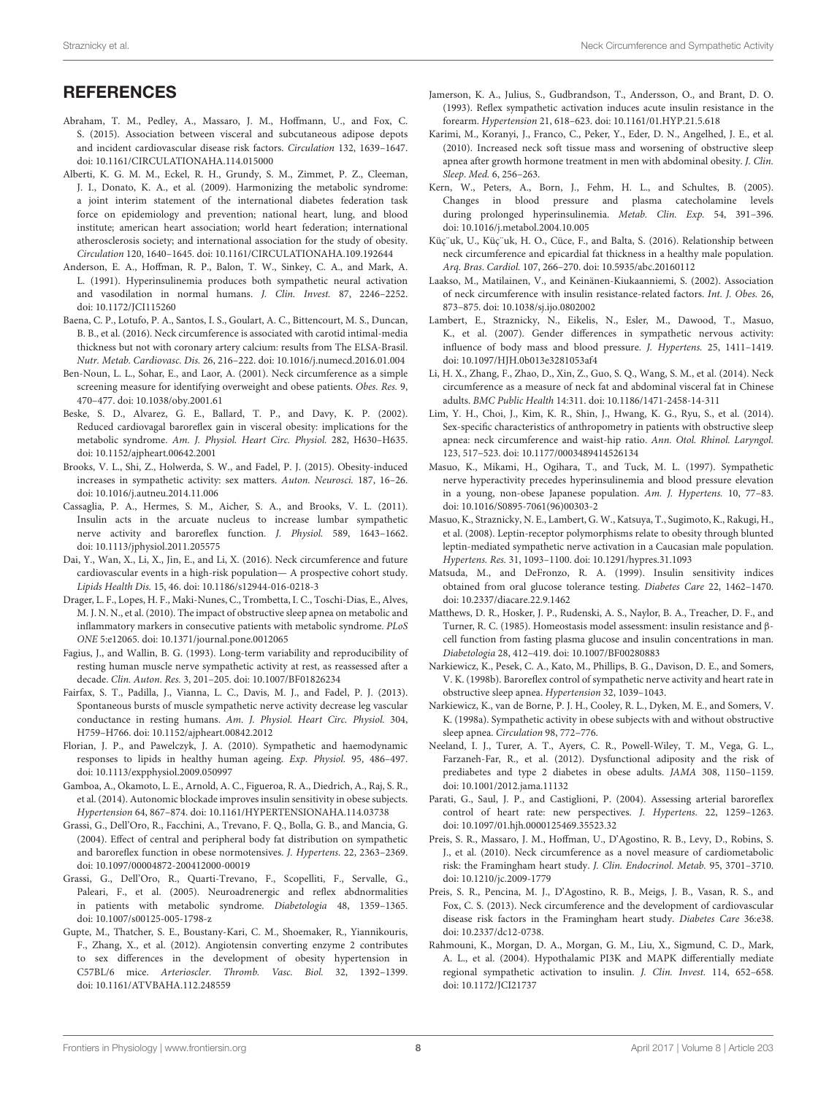## **REFERENCES**

- <span id="page-7-1"></span>Abraham, T. M., Pedley, A., Massaro, J. M., Hoffmann, U., and Fox, C. S. (2015). Association between visceral and subcutaneous adipose depots and incident cardiovascular disease risk factors. Circulation 132, 1639–1647. doi: [10.1161/CIRCULATIONAHA.114.015000](https://doi.org/10.1161/CIRCULATIONAHA.114.015000)
- <span id="page-7-13"></span>Alberti, K. G. M. M., Eckel, R. H., Grundy, S. M., Zimmet, P. Z., Cleeman, J. I., Donato, K. A., et al. (2009). Harmonizing the metabolic syndrome: a joint interim statement of the international diabetes federation task force on epidemiology and prevention; national heart, lung, and blood institute; american heart association; world heart federation; international atherosclerosis society; and international association for the study of obesity. Circulation 120, 1640–1645. doi: [10.1161/CIRCULATIONAHA.109.192644](https://doi.org/10.1161/CIRCULATIONAHA.109.192644)
- <span id="page-7-19"></span>Anderson, E. A., Hoffman, R. P., Balon, T. W., Sinkey, C. A., and Mark, A. L. (1991). Hyperinsulinemia produces both sympathetic neural activation and vasodilation in normal humans. J. Clin. Invest. 87, 2246–2252. doi: [10.1172/JCI115260](https://doi.org/10.1172/JCI115260)
- <span id="page-7-5"></span>Baena, C. P., Lotufo, P. A., Santos, I. S., Goulart, A. C., Bittencourt, M. S., Duncan, B. B., et al. (2016). Neck circumference is associated with carotid intimal-media thickness but not with coronary artery calcium: results from The ELSA-Brasil. Nutr. Metab. Cardiovasc. Dis. 26, 216–222. doi: [10.1016/j.numecd.2016.01.004](https://doi.org/10.1016/j.numecd.2016.01.004)
- <span id="page-7-12"></span>Ben-Noun, L. L., Sohar, E., and Laor, A. (2001). Neck circumference as a simple screening measure for identifying overweight and obese patients. Obes. Res. 9, 470–477. doi: [10.1038/oby.2001.61](https://doi.org/10.1038/oby.2001.61)
- <span id="page-7-9"></span>Beske, S. D., Alvarez, G. E., Ballard, T. P., and Davy, K. P. (2002). Reduced cardiovagal baroreflex gain in visceral obesity: implications for the metabolic syndrome. Am. J. Physiol. Heart Circ. Physiol. 282, H630–H635. doi: [10.1152/ajpheart.00642.2001](https://doi.org/10.1152/ajpheart.00642.2001)
- <span id="page-7-29"></span>Brooks, V. L., Shi, Z., Holwerda, S. W., and Fadel, P. J. (2015). Obesity-induced increases in sympathetic activity: sex matters. Auton. Neurosci. 187, 16–26. doi: [10.1016/j.autneu.2014.11.006](https://doi.org/10.1016/j.autneu.2014.11.006)
- <span id="page-7-22"></span>Cassaglia, P. A., Hermes, S. M., Aicher, S. A., and Brooks, V. L. (2011). Insulin acts in the arcuate nucleus to increase lumbar sympathetic nerve activity and baroreflex function. J. Physiol. 589, 1643–1662. doi: [10.1113/jphysiol.2011.205575](https://doi.org/10.1113/jphysiol.2011.205575)
- <span id="page-7-7"></span>Dai, Y., Wan, X., Li, X., Jin, E., and Li, X. (2016). Neck circumference and future cardiovascular events in a high-risk population— A prospective cohort study. Lipids Health Dis. 15, 46. doi: [10.1186/s12944-016-0218-3](https://doi.org/10.1186/s12944-016-0218-3)
- <span id="page-7-26"></span>Drager, L. F., Lopes, H. F., Maki-Nunes, C., Trombetta, I. C., Toschi-Dias, E., Alves, M. J. N. N., et al. (2010). The impact of obstructive sleep apnea on metabolic and inflammatory markers in consecutive patients with metabolic syndrome. PLoS ONE 5:e12065. doi: [10.1371/journal.pone.0012065](https://doi.org/10.1371/journal.pone.0012065)
- <span id="page-7-33"></span>Fagius, J., and Wallin, B. G. (1993). Long-term variability and reproducibility of resting human muscle nerve sympathetic activity at rest, as reassessed after a decade. Clin. Auton. Res. 3, 201–205. doi: [10.1007/BF01826234](https://doi.org/10.1007/BF01826234)
- <span id="page-7-34"></span>Fairfax, S. T., Padilla, J., Vianna, L. C., Davis, M. J., and Fadel, P. J. (2013). Spontaneous bursts of muscle sympathetic nerve activity decrease leg vascular conductance in resting humans. Am. J. Physiol. Heart Circ. Physiol. 304, H759–H766. doi: [10.1152/ajpheart.00842.2012](https://doi.org/10.1152/ajpheart.00842.2012)
- <span id="page-7-32"></span>Florian, J. P., and Pawelczyk, J. A. (2010). Sympathetic and haemodynamic responses to lipids in healthy human ageing. Exp. Physiol. 95, 486–497. doi: [10.1113/expphysiol.2009.050997](https://doi.org/10.1113/expphysiol.2009.050997)
- <span id="page-7-35"></span>Gamboa, A., Okamoto, L. E., Arnold, A. C., Figueroa, R. A., Diedrich, A., Raj, S. R., et al. (2014). Autonomic blockade improves insulin sensitivity in obese subjects. Hypertension 64, 867–874. doi: [10.1161/HYPERTENSIONAHA.114.03738](https://doi.org/10.1161/HYPERTENSIONAHA.114.03738)
- <span id="page-7-10"></span>Grassi, G., Dell'Oro, R., Facchini, A., Trevano, F. Q., Bolla, G. B., and Mancia, G. (2004). Effect of central and peripheral body fat distribution on sympathetic and baroreflex function in obese normotensives. J. Hypertens. 22, 2363–2369. doi: [10.1097/00004872-200412000-00019](https://doi.org/10.1097/00004872-200412000-00019)
- <span id="page-7-27"></span>Grassi, G., Dell'Oro, R., Quarti-Trevano, F., Scopelliti, F., Servalle, G., Paleari, F., et al. (2005). Neuroadrenergic and reflex abdnormalities in patients with metabolic syndrome. Diabetologia 48, 1359–1365. doi: [10.1007/s00125-005-1798-z](https://doi.org/10.1007/s00125-005-1798-z)
- <span id="page-7-30"></span>Gupte, M., Thatcher, S. E., Boustany-Kari, C. M., Shoemaker, R., Yiannikouris, F., Zhang, X., et al. (2012). Angiotensin converting enzyme 2 contributes to sex differences in the development of obesity hypertension in C57BL/6 mice. Arterioscler. Thromb. Vasc. Biol. 32, 1392–1399. doi: [10.1161/ATVBAHA.112.248559](https://doi.org/10.1161/ATVBAHA.112.248559)
- <span id="page-7-23"></span>Jamerson, K. A., Julius, S., Gudbrandson, T., Andersson, O., and Brant, D. O. (1993). Reflex sympathetic activation induces acute insulin resistance in the forearm. Hypertension 21, 618–623. doi: [10.1161/01.HYP.21.5.618](https://doi.org/10.1161/01.HYP.21.5.618)
- <span id="page-7-2"></span>Karimi, M., Koranyi, J., Franco, C., Peker, Y., Eder, D. N., Angelhed, J. E., et al. (2010). Increased neck soft tissue mass and worsening of obstructive sleep apnea after growth hormone treatment in men with abdominal obesity. J. Clin. Sleep. Med. 6, 256–263.
- <span id="page-7-20"></span>Kern, W., Peters, A., Born, J., Fehm, H. L., and Schultes, B. (2005). Changes in blood pressure and plasma catecholamine levels during prolonged hyperinsulinemia. Metab. Clin. Exp. 54, 391–396. doi: [10.1016/j.metabol.2004.10.005](https://doi.org/10.1016/j.metabol.2004.10.005)
- <span id="page-7-18"></span>Küç¨uk, U., Küç¨uk, H. O., Cüce, F., and Balta, S. (2016). Relationship between neck circumference and epicardial fat thickness in a healthy male population. Arq. Bras. Cardiol. 107, 266–270. doi: [10.5935/abc.20160112](https://doi.org/10.5935/abc.20160112)
- <span id="page-7-17"></span>Laakso, M., Matilainen, V., and Keinänen-Kiukaanniemi, S. (2002). Association of neck circumference with insulin resistance-related factors. Int. J. Obes. 26, 873–875. doi: [10.1038/sj.ijo.0802002](https://doi.org/10.1038/sj.ijo.0802002)
- <span id="page-7-28"></span>Lambert, E., Straznicky, N., Eikelis, N., Esler, M., Dawood, T., Masuo, K., et al. (2007). Gender differences in sympathetic nervous activity: influence of body mass and blood pressure. J. Hypertens. 25, 1411–1419. doi: [10.1097/HJH.0b013e3281053af4](https://doi.org/10.1097/HJH.0b013e3281053af4)
- <span id="page-7-3"></span>Li, H. X., Zhang, F., Zhao, D., Xin, Z., Guo, S. Q., Wang, S. M., et al. (2014). Neck circumference as a measure of neck fat and abdominal visceral fat in Chinese adults. BMC Public Health 14:311. doi: [10.1186/1471-2458-14-311](https://doi.org/10.1186/1471-2458-14-311)
- <span id="page-7-24"></span>Lim, Y. H., Choi, J., Kim, K. R., Shin, J., Hwang, K. G., Ryu, S., et al. (2014). Sex-specific characteristics of anthropometry in patients with obstructive sleep apnea: neck circumference and waist-hip ratio. Ann. Otol. Rhinol. Laryngol. 123, 517–523. doi: [10.1177/0003489414526134](https://doi.org/10.1177/0003489414526134)
- <span id="page-7-11"></span>Masuo, K., Mikami, H., Ogihara, T., and Tuck, M. L. (1997). Sympathetic nerve hyperactivity precedes hyperinsulinemia and blood pressure elevation in a young, non-obese Japanese population. Am. J. Hypertens. 10, 77–83. doi: [10.1016/S0895-7061\(96\)00303-2](https://doi.org/10.1016/S0895-7061(96)00303-2)
- <span id="page-7-31"></span>Masuo, K., Straznicky, N. E., Lambert, G. W., Katsuya, T., Sugimoto, K., Rakugi, H., et al. (2008). Leptin-receptor polymorphisms relate to obesity through blunted leptin-mediated sympathetic nerve activation in a Caucasian male population. Hypertens. Res. 31, 1093–1100. doi: [10.1291/hypres.31.1093](https://doi.org/10.1291/hypres.31.1093)
- <span id="page-7-16"></span>Matsuda, M., and DeFronzo, R. A. (1999). Insulin sensitivity indices obtained from oral glucose tolerance testing. Diabetes Care 22, 1462–1470. doi: [10.2337/diacare.22.9.1462](https://doi.org/10.2337/diacare.22.9.1462)
- <span id="page-7-15"></span>Matthews, D. R., Hosker, J. P., Rudenski, A. S., Naylor, B. A., Treacher, D. F., and Turner, R. C. (1985). Homeostasis model assessment: insulin resistance and βcell function from fasting plasma glucose and insulin concentrations in man. Diabetologia 28, 412–419. doi: [10.1007/BF00280883](https://doi.org/10.1007/BF00280883)
- <span id="page-7-25"></span>Narkiewicz, K., Pesek, C. A., Kato, M., Phillips, B. G., Davison, D. E., and Somers, V. K. (1998b). Baroreflex control of sympathetic nerve activity and heart rate in obstructive sleep apnea. Hypertension 32, 1039–1043.
- <span id="page-7-8"></span>Narkiewicz, K., van de Borne, P. J. H., Cooley, R. L., Dyken, M. E., and Somers, V. K. (1998a). Sympathetic activity in obese subjects with and without obstructive sleep apnea. Circulation 98, 772–776.
- <span id="page-7-0"></span>Neeland, I. J., Turer, A. T., Ayers, C. R., Powell-Wiley, T. M., Vega, G. L., Farzaneh-Far, R., et al. (2012). Dysfunctional adiposity and the risk of prediabetes and type 2 diabetes in obese adults. JAMA 308, 1150–1159. doi: [10.1001/2012.jama.11132](https://doi.org/10.1001/2012.jama.11132)
- <span id="page-7-14"></span>Parati, G., Saul, J. P., and Castiglioni, P. (2004). Assessing arterial baroreflex control of heart rate: new perspectives. J. Hypertens. 22, 1259–1263. doi: [10.1097/01.hjh.0000125469.35523.32](https://doi.org/10.1097/01.hjh.0000125469.35523.32)
- <span id="page-7-4"></span>Preis, S. R., Massaro, J. M., Hoffman, U., D'Agostino, R. B., Levy, D., Robins, S. J., et al. (2010). Neck circumference as a novel measure of cardiometabolic risk: the Framingham heart study. J. Clin. Endocrinol. Metab. 95, 3701–3710. doi: [10.1210/jc.2009-1779](https://doi.org/10.1210/jc.2009-1779)
- <span id="page-7-6"></span>Preis, S. R., Pencina, M. J., D'Agostino, R. B., Meigs, J. B., Vasan, R. S., and Fox, C. S. (2013). Neck circumference and the development of cardiovascular disease risk factors in the Framingham heart study. Diabetes Care 36:e38. doi: [10.2337/dc12-0738.](https://doi.org/10.2337/dc12-0738.)
- <span id="page-7-21"></span>Rahmouni, K., Morgan, D. A., Morgan, G. M., Liu, X., Sigmund, C. D., Mark, A. L., et al. (2004). Hypothalamic PI3K and MAPK differentially mediate regional sympathetic activation to insulin. J. Clin. Invest. 114, 652–658. doi: [10.1172/JCI21737](https://doi.org/10.1172/JCI21737)